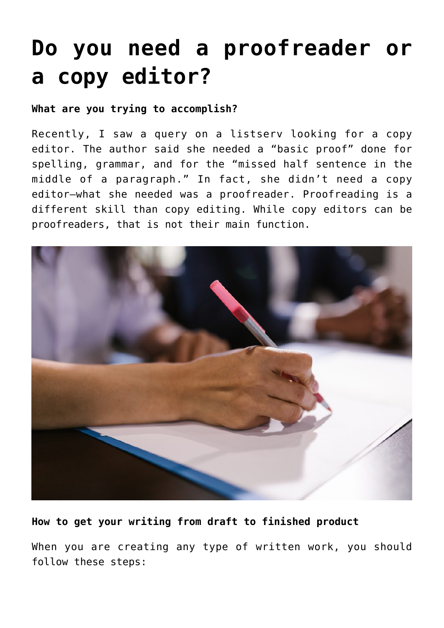# **[Do you need a proofreader or](https://deborahbrody.com/2022/05/do-you-need-a-proofreader-or-a-copy-editor/) [a copy editor?](https://deborahbrody.com/2022/05/do-you-need-a-proofreader-or-a-copy-editor/)**

## **What are you trying to accomplish?**

Recently, I saw a query on a listserv looking for a copy editor. The author said she needed a "basic proof" done for spelling, grammar, and for the "missed half sentence in the middle of a paragraph." In fact, she didn't need a copy editor—what she needed was a proofreader. Proofreading is a different skill than copy editing. While copy editors can be proofreaders, that is not their main function.



## **How to get your writing from draft to finished product**

When you are creating any type of written work, you should follow these steps: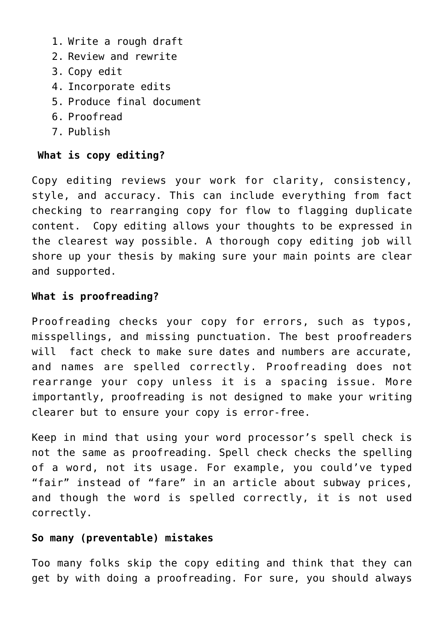- 1. Write a rough draft
- 2. Review and rewrite
- 3. Copy edit
- 4. Incorporate edits
- 5. Produce final document
- 6. Proofread
- 7. Publish

# **What is copy editing?**

Copy editing reviews your work for clarity, consistency, style, and accuracy. This can include everything from fact checking to rearranging copy for flow to flagging duplicate content. Copy editing allows your thoughts to be expressed in the clearest way possible. A thorough copy editing job will shore up your thesis by making sure your main points are clear and supported.

# **What is proofreading?**

Proofreading checks your copy for errors, such as typos, misspellings, and missing punctuation. The best proofreaders will fact check to make sure dates and numbers are accurate, and names are spelled correctly. Proofreading does not rearrange your copy unless it is a spacing issue. More importantly, proofreading is not designed to make your writing clearer but to ensure your copy is error-free.

Keep in mind that using your word processor's spell check is not the same as proofreading. Spell check checks the spelling of a word, not its usage. For example, you could've typed "fair" instead of "fare" in an article about subway prices, and though the word is spelled correctly, it is not used correctly.

## **So many (preventable) mistakes**

Too many folks skip the copy editing and think that they can get by with doing a proofreading. For sure, you should always